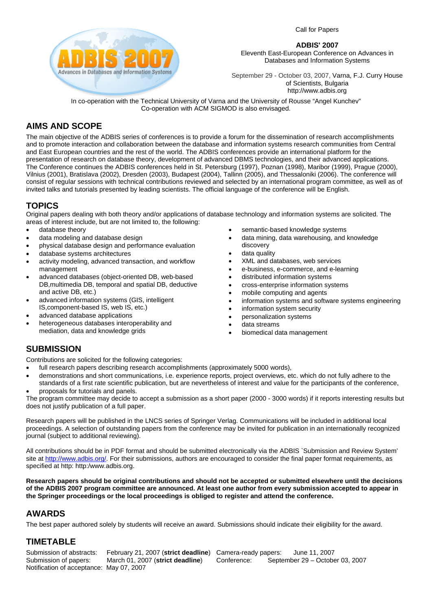Call for Papers



**ADBIS' 2007** 

Eleventh East-European Conference on Advances in Databases and Information Systems

September 29 - October 03, 2007, Varna, F.J. Curry House of Scientists, Bulgaria http://www.adbis.org

In co-operation with the Technical University of Varna and the University of Rousse "Angel Kunchev" Co-operation with ACM SIGMOD is also envisaged.

#### **AIMS AND SCOPE**

The main objective of the ADBIS series of conferences is to provide a forum for the dissemination of research accomplishments and to promote interaction and collaboration between the database and information systems research communities from Central and East European countries and the rest of the world. The ADBIS conferences provide an international platform for the presentation of research on database theory, development of advanced DBMS technologies, and their advanced applications. The Conference continues the ADBIS conferences held in St. Petersburg (1997), Poznan (1998), Maribor (1999), Prague (2000), Vilnius (2001), Bratislava (2002), Dresden (2003), Budapest (2004), Tallinn (2005), and Thessaloniki (2006). The conference will consist of regular sessions with technical contributions reviewed and selected by an international program committee, as well as of invited talks and tutorials presented by leading scientists. The official language of the conference will be English.

#### **TOPICS**

Original papers dealing with both theory and/or applications of database technology and information systems are solicited. The areas of interest include, but are not limited to, the following:

- database theory
- data modeling and database design
- physical database design and performance evaluation
- database systems architectures
- activity modeling, advanced transaction, and workflow management
- advanced databases (object-oriented DB, web-based DB,multimedia DB, temporal and spatial DB, deductive and active DB, etc.)
- advanced information systems (GIS, intelligent IS,component-based IS, web IS, etc.)
- advanced database applications
- heterogeneous databases interoperability and mediation, data and knowledge grids
- semantic-based knowledge systems
- data mining, data warehousing, and knowledge discovery
- data quality
- XML and databases, web services
- e-business, e-commerce, and e-learning
- distributed information systems
- cross-enterprise information systems
- mobile computing and agents
- information systems and software systems engineering
- information system security
- personalization systems
- data streams
- biomedical data management

#### **SUBMISSION**

Contributions are solicited for the following categories:

- full research papers describing research accomplishments (approximately 5000 words),
- demonstrations and short communications, i.e. experience reports, project overviews, etc. which do not fully adhere to the
- standards of a first rate scientific publication, but are nevertheless of interest and value for the participants of the conference, • proposals for tutorials and panels.

The program committee may decide to accept a submission as a short paper (2000 - 3000 words) if it reports interesting results but does not justify publication of a full paper.

Research papers will be published in the LNCS series of Springer Verlag. Communications will be included in additional local proceedings. A selection of outstanding papers from the conference may be invited for publication in an internationally recognized journal (subject to additional reviewing).

All contributions should be in PDF format and should be submitted electronically via the ADBIS `Submission and Review System' site at <http://www.adbis.org/>. For their submissions, authors are encouraged to consider the final paper format requirements, as specified at http: http:/www.adbis.org.

**Research papers should be original contributions and should not be accepted or submitted elsewhere until the decisions of the ADBIS 2007 program committee are announced. At least one author from every submission accepted to appear in the Springer proceedings or the local proceedings is obliged to register and attend the conference.** 

### **AWARDS**

The best paper authored solely by students will receive an award. Submissions should indicate their eligibility for the award.

### **TIMETABLE**

Submission of abstracts: February 21, 2007 (**strict deadline**) Submission of papers: March 01, 2007 (**strict deadline**) Notification of acceptance: May 07, 2007

Camera-ready papers: June 11, 2007 Conference: September 29 – October 03, 2007